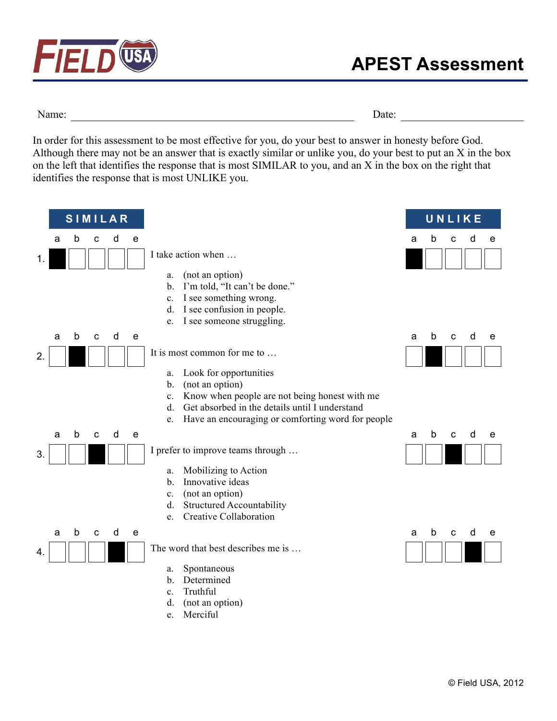

Name: Date:

In order for this assessment to be most effective for you, do your best to answer in honesty before God. Although there may not be an answer that is exactly similar or unlike you, do your best to put an X in the box on the left that identifies the response that is most SIMILAR to you, and an X in the box on the right that identifies the response that is most UNLIKE you.

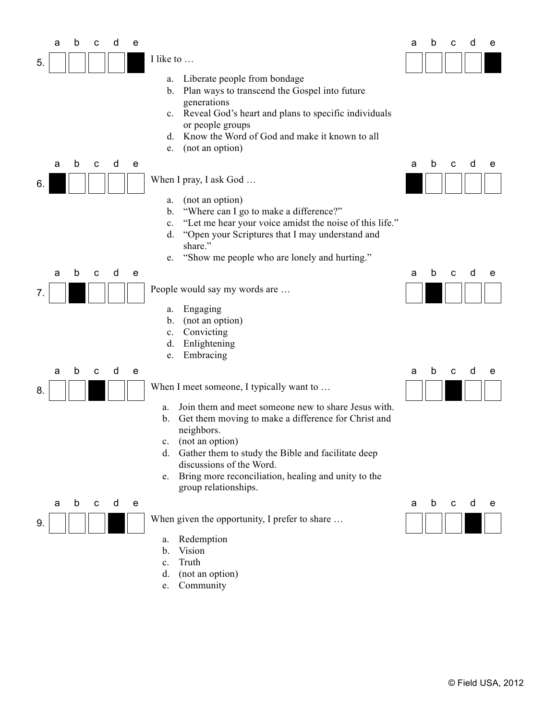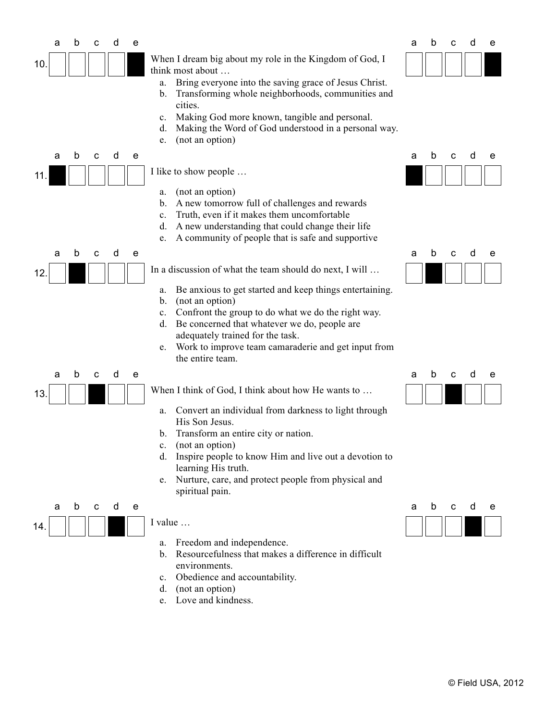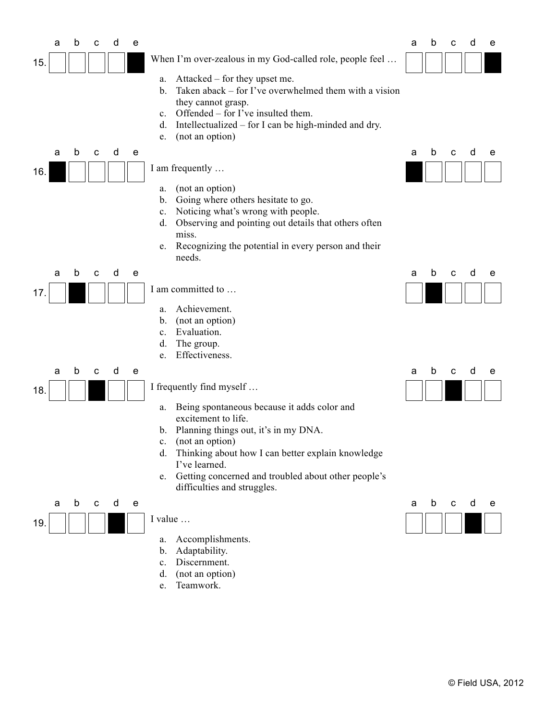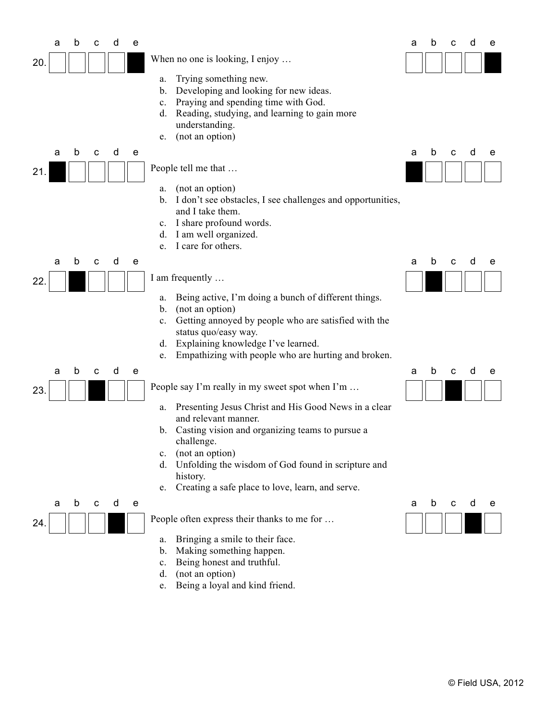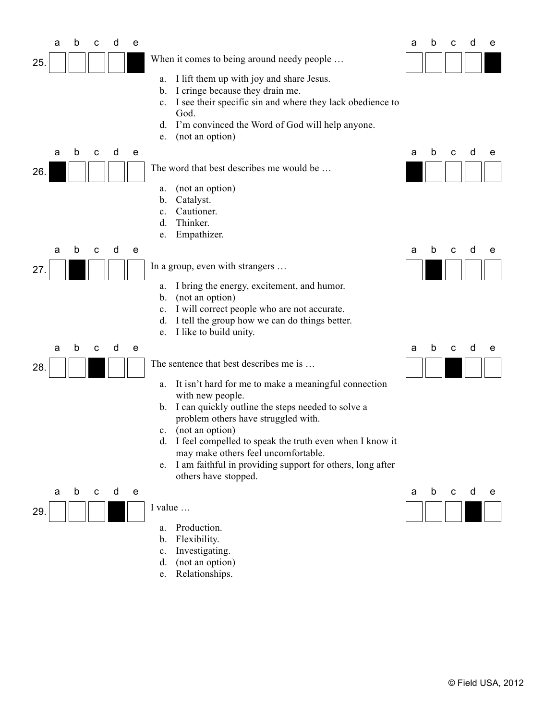

e. Relationships.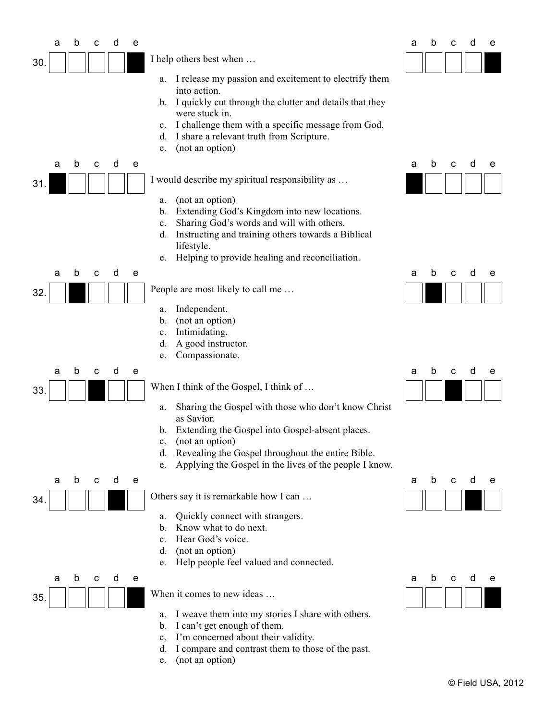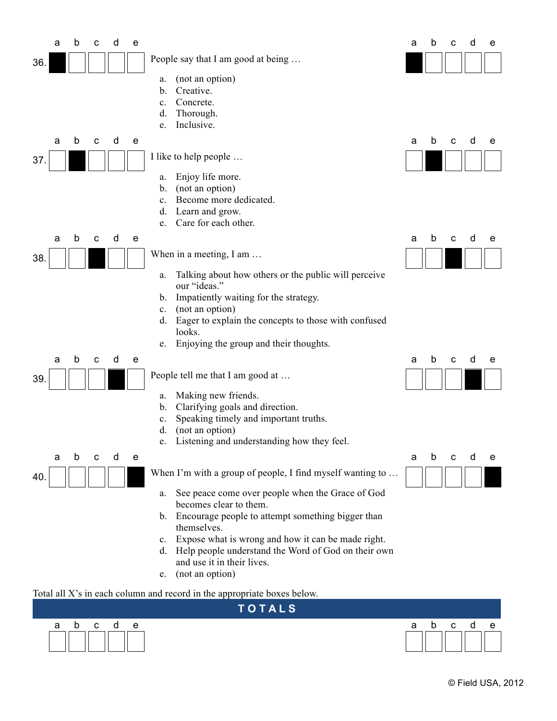